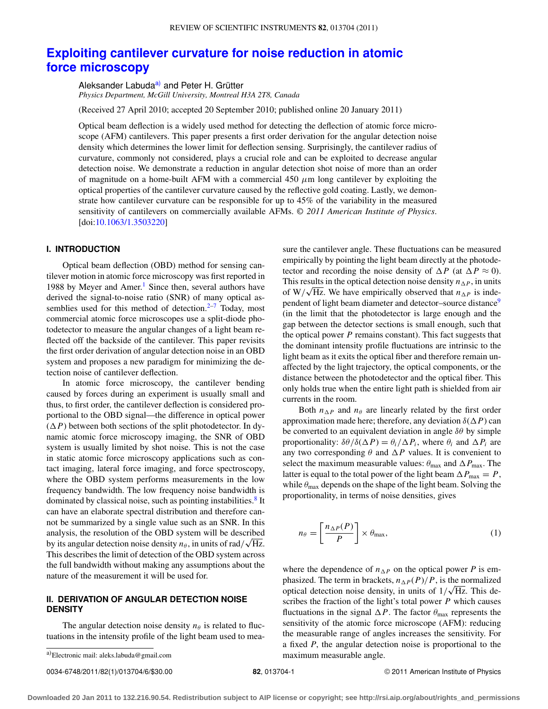# **[Exploiting cantilever curvature for noise reduction in atomic](http://dx.doi.org/10.1063/1.3503220) [force microscopy](http://dx.doi.org/10.1063/1.3503220)**

Aleksander Labuda<sup>[a\)](#page-0-0)</sup> and Peter H. Grütter *Physics Department, McGill University, Montreal H3A 2T8, Canada*

(Received 27 April 2010; accepted 20 September 2010; published online 20 January 2011)

Optical beam deflection is a widely used method for detecting the deflection of atomic force microscope (AFM) cantilevers. This paper presents a first order derivation for the angular detection noise density which determines the lower limit for deflection sensing. Surprisingly, the cantilever radius of curvature, commonly not considered, plays a crucial role and can be exploited to decrease angular detection noise. We demonstrate a reduction in angular detection shot noise of more than an order of magnitude on a home-built AFM with a commercial 450  $\mu$ m long cantilever by exploiting the optical properties of the cantilever curvature caused by the reflective gold coating. Lastly, we demonstrate how cantilever curvature can be responsible for up to 45% of the variability in the measured sensitivity of cantilevers on commercially available AFMs. *© 2011 American Institute of Physics*. [doi[:10.1063/1.3503220\]](http://dx.doi.org/10.1063/1.3503220)

### **I. INTRODUCTION**

Optical beam deflection (OBD) method for sensing cantilever motion in atomic force microscopy was first reported in 1988 by Meyer and Amer.<sup>1</sup> Since then, several authors have derived the signal-to-noise ratio (SNR) of many optical assemblies used for this method of detection. $2-7$  $2-7$  Today, most commercial atomic force microscopes use a split-diode photodetector to measure the angular changes of a light beam reflected off the backside of the cantilever. This paper revisits the first order derivation of angular detection noise in an OBD system and proposes a new paradigm for minimizing the detection noise of cantilever deflection.

In atomic force microscopy, the cantilever bending caused by forces during an experiment is usually small and thus, to first order, the cantilever deflection is considered proportional to the OBD signal—the difference in optical power  $(\Delta P)$  between both sections of the split photodetector. In dynamic atomic force microscopy imaging, the SNR of OBD system is usually limited by shot noise. This is not the case in static atomic force microscopy applications such as contact imaging, lateral force imaging, and force spectroscopy, where the OBD system performs measurements in the low frequency bandwidth. The low frequency noise bandwidth is dominated by classical noise, such as pointing instabilities. $8$  It can have an elaborate spectral distribution and therefore cannot be summarized by a single value such as an SNR. In this analysis, the resolution of the OBD system will be described by its angular detection noise density  $n_\theta$ , in units of rad/ $\sqrt{Hz}$ . This describes the limit of detection of the OBD system across the full bandwidth without making any assumptions about the nature of the measurement it will be used for.

## **II. DERIVATION OF ANGULAR DETECTION NOISE DENSITY**

The angular detection noise density  $n_{\theta}$  is related to fluctuations in the intensity profile of the light beam used to mea-

0034-6748/2011/82(1)/013704/6/\$30.00 © 2011 American Institute of Physics **82**, 013704-1

sure the cantilever angle. These fluctuations can be measured empirically by pointing the light beam directly at the photodetector and recording the noise density of  $\Delta P$  (at  $\Delta P \approx 0$ ). This results in the optical detection noise density  $n_{\Delta P}$ , in units of  $W/\sqrt{Hz}$ . We have empirically observed that  $n_{\Delta P}$  is independent of light beam diameter and detector–source distance<sup>9</sup> (in the limit that the photodetector is large enough and the gap between the detector sections is small enough, such that the optical power *P* remains constant). This fact suggests that the dominant intensity profile fluctuations are intrinsic to the light beam as it exits the optical fiber and therefore remain unaffected by the light trajectory, the optical components, or the distance between the photodetector and the optical fiber. This only holds true when the entire light path is shielded from air currents in the room.

Both  $n_{\Delta P}$  and  $n_{\theta}$  are linearly related by the first order approximation made here; therefore, any deviation  $\delta(\Delta P)$  can be converted to an equivalent deviation in angle  $\delta\theta$  by simple proportionality:  $\delta\theta/\delta(\Delta P) = \theta_i/\Delta P_i$ , where  $\theta_i$  and  $\Delta P_i$  are any two corresponding  $\theta$  and  $\Delta P$  values. It is convenient to select the maximum measurable values:  $\theta_{\text{max}}$  and  $\Delta P_{\text{max}}$ . The latter is equal to the total power of the light beam  $\Delta P_{\text{max}} = P$ , while  $\theta_{\text{max}}$  depends on the shape of the light beam. Solving the proportionality, in terms of noise densities, gives

<span id="page-0-1"></span>
$$
n_{\theta} = \left[\frac{n_{\Delta P}(P)}{P}\right] \times \theta_{\text{max}},\tag{1}
$$

where the dependence of  $n_{\Delta P}$  on the optical power *P* is emphasized. The term in brackets,  $n_{\Delta P}(P)/P$ , is the normalized optical detection noise density, in units of  $1/\sqrt{Hz}$ . This describes the fraction of the light's total power *P* which causes fluctuations in the signal  $\Delta P$ . The factor  $\theta_{\text{max}}$  represents the sensitivity of the atomic force microscope (AFM): reducing the measurable range of angles increases the sensitivity. For a fixed *P*, the angular detection noise is proportional to the maximum measurable angle.

<span id="page-0-0"></span>a)Electronic mail: aleks.labuda@gmail.com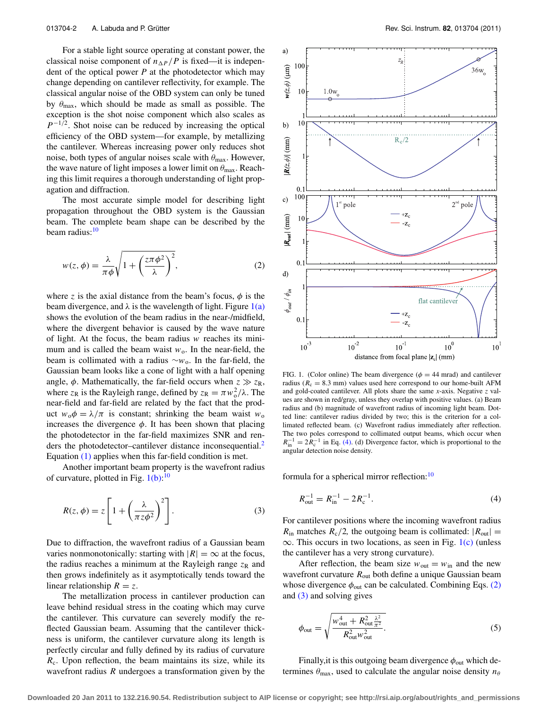For a stable light source operating at constant power, the classical noise component of  $n_{\Delta P}/P$  is fixed—it is independent of the optical power *P* at the photodetector which may change depending on cantilever reflectivity, for example. The classical angular noise of the OBD system can only be tuned by  $\theta_{\text{max}}$ , which should be made as small as possible. The exception is the shot noise component which also scales as *P*<sup>−1/2</sup>. Shot noise can be reduced by increasing the optical efficiency of the OBD system—for example, by metallizing the cantilever. Whereas increasing power only reduces shot noise, both types of angular noises scale with  $\theta_{\text{max}}$ . However, the wave nature of light imposes a lower limit on  $\theta_{\text{max}}$ . Reaching this limit requires a thorough understanding of light propagation and diffraction.

The most accurate simple model for describing light propagation throughout the OBD system is the Gaussian beam. The complete beam shape can be described by the beam radius:<sup>[10](#page-5-5)</sup>

<span id="page-1-2"></span>
$$
w(z,\phi) = \frac{\lambda}{\pi\phi} \sqrt{1 + \left(\frac{z\pi\phi^2}{\lambda}\right)^2},\tag{2}
$$

where *z* is the axial distance from the beam's focus,  $\phi$  is the beam divergence, and  $\lambda$  is the wavelength of light. Figure  $1(a)$ shows the evolution of the beam radius in the near-/midfield, where the divergent behavior is caused by the wave nature of light. At the focus, the beam radius *w* reaches its minimum and is called the beam waist  $w_0$ . In the near-field, the beam is collimated with a radius ∼*w*o. In the far-field, the Gaussian beam looks like a cone of light with a half opening angle,  $\phi$ . Mathematically, the far-field occurs when  $z \gg z_R$ , where  $z_R$  is the Rayleigh range, defined by  $z_R = \pi w_o^2 / \lambda$ . The near-field and far-field are related by the fact that the product  $w_0 \phi = \lambda / \pi$  is constant; shrinking the beam waist  $w_0$ increases the divergence  $\phi$ . It has been shown that placing the photodetector in the far-field maximizes SNR and ren-ders the photodetector-cantilever distance inconsequential.<sup>[2](#page-5-1)</sup> Equation [\(1\)](#page-0-1) applies when this far-field condition is met.

Another important beam property is the wavefront radius of curvature, plotted in Fig.  $1(b)$ :<sup>[10](#page-5-5)</sup>

$$
R(z, \phi) = z \left[ 1 + \left( \frac{\lambda}{\pi z \phi^2} \right)^2 \right].
$$
 (3)

Due to diffraction, the wavefront radius of a Gaussian beam varies nonmonotonically: starting with  $|R| = \infty$  at the focus, the radius reaches a minimum at the Rayleigh range  $z_R$  and then grows indefinitely as it asymptotically tends toward the linear relationship  $R = z$ .

The metallization process in cantilever production can leave behind residual stress in the coating which may curve the cantilever. This curvature can severely modify the reflected Gaussian beam. Assuming that the cantilever thickness is uniform, the cantilever curvature along its length is perfectly circular and fully defined by its radius of curvature  $R<sub>c</sub>$ . Upon reflection, the beam maintains its size, while its wavefront radius *R* undergoes a transformation given by the

<span id="page-1-0"></span>

FIG. 1. (Color online) The beam divergence ( $\phi = 44$  mrad) and cantilever radius ( $R_c = 8.3$  mm) values used here correspond to our home-built AFM and gold-coated cantilever. All plots share the same *x*-axis. Negative *z* values are shown in red/gray, unless they overlap with positive values. (a) Beam radius and (b) magnitude of wavefront radius of incoming light beam. Dotted line: cantilever radius divided by two; this is the criterion for a collimated reflected beam. (c) Wavefront radius immediately after reflection. The two poles correspond to collimated output beams, which occur when  $R_{\text{in}}^{-1} = 2R_{\text{c}}^{-1}$  in Eq. [\(4\).](#page-1-1) (d) Divergence factor, which is proportional to the angular detection noise density.

<span id="page-1-3"></span>formula for a spherical mirror reflection:<sup>[10](#page-5-5)</sup>

<span id="page-1-1"></span>
$$
R_{\text{out}}^{-1} = R_{\text{in}}^{-1} - 2R_{\text{c}}^{-1}.
$$
 (4)

For cantilever positions where the incoming wavefront radius  $R_{\text{in}}$  matches  $R_{\text{c}}/2$ , the outgoing beam is collimated:  $|R_{\text{out}}| =$  $\infty$ . This occurs in two locations, as seen in Fig. [1\(c\)](#page-1-0) (unless the cantilever has a very strong curvature).

After reflection, the beam size  $w_{\text{out}} = w_{\text{in}}$  and the new wavefront curvature  $R_{out}$  both define a unique Gaussian beam whose divergence  $\phi_{\text{out}}$  can be calculated. Combining Eqs. [\(2\)](#page-1-2) and [\(3\)](#page-1-3) and solving gives

<span id="page-1-4"></span>
$$
\phi_{\text{out}} = \sqrt{\frac{w_{\text{out}}^4 + R_{\text{out}}^2 \frac{\lambda^2}{\pi^2}}{R_{\text{out}}^2 w_{\text{out}}^2}}.
$$
\n(5)

Finally, it is this outgoing beam divergence  $\phi_{\text{out}}$  which determines  $\theta_{\text{max}}$ , used to calculate the angular noise density  $n_{\theta}$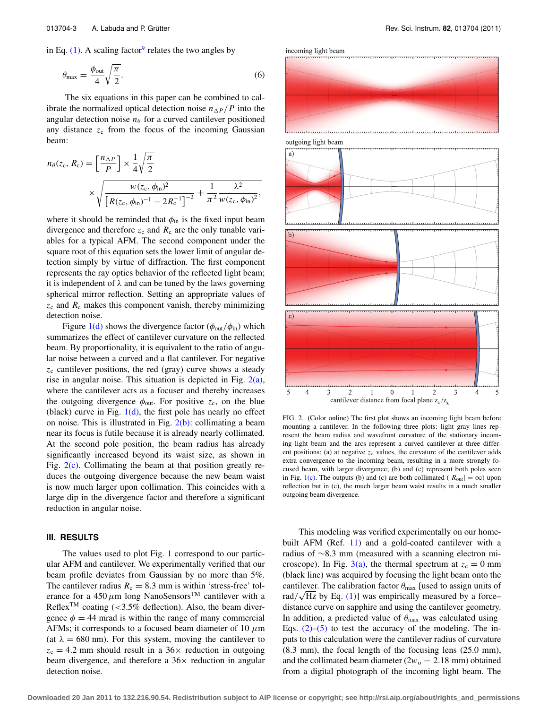in Eq.  $(1)$ . A scaling factor<sup>[9](#page-5-4)</sup> relates the two angles by

$$
\theta_{\text{max}} = \frac{\phi_{\text{out}}}{4} \sqrt{\frac{\pi}{2}}.
$$
\n(6)

The six equations in this paper can be combined to calibrate the normalized optical detection noise  $n_{\Delta P}/P$  into the angular detection noise  $n_\theta$  for a curved cantilever positioned any distance  $z_c$  from the focus of the incoming Gaussian beam:

$$
n_{\theta}(z_{c}, R_{c}) = \left[\frac{n_{\Delta P}}{P}\right] \times \frac{1}{4} \sqrt{\frac{\pi}{2}}
$$
  
\$\times \sqrt{\frac{w(z\_{c}, \phi\_{in})^{2}}{\left[R(z\_{c}, \phi\_{in})^{-1} - 2R\_{c}^{-1}\right]^{-2}} + \frac{1}{\pi^{2}} \frac{\lambda^{2}}{w(z\_{c}, \phi\_{in})^{2}}},

where it should be reminded that  $\phi_{\text{in}}$  is the fixed input beam divergence and therefore  $z_c$  and  $R_c$  are the only tunable variables for a typical AFM. The second component under the square root of this equation sets the lower limit of angular detection simply by virtue of diffraction. The first component represents the ray optics behavior of the reflected light beam; it is independent of  $\lambda$  and can be tuned by the laws governing spherical mirror reflection. Setting an appropriate values of *z*<sup>c</sup> and *R*<sup>c</sup> makes this component vanish, thereby minimizing detection noise.

Figure [1\(d\)](#page-1-0) shows the divergence factor ( $\phi_{\text{out}}/\phi_{\text{in}}$ ) which summarizes the effect of cantilever curvature on the reflected beam. By proportionality, it is equivalent to the ratio of angular noise between a curved and a flat cantilever. For negative *z*<sup>c</sup> cantilever positions, the red (gray) curve shows a steady rise in angular noise. This situation is depicted in Fig.  $2(a)$ , where the cantilever acts as a focuser and thereby increases the outgoing divergence  $\phi_{\text{out}}$ . For positive  $z_c$ , on the blue (black) curve in Fig.  $1(d)$ , the first pole has nearly no effect on noise. This is illustrated in Fig.  $2(b)$ : collimating a beam near its focus is futile because it is already nearly collimated. At the second pole position, the beam radius has already significantly increased beyond its waist size, as shown in Fig.  $2(c)$ . Collimating the beam at that position greatly reduces the outgoing divergence because the new beam waist is now much larger upon collimation. This coincides with a large dip in the divergence factor and therefore a significant reduction in angular noise.

#### **III. RESULTS**

The values used to plot Fig. [1](#page-1-0) correspond to our particular AFM and cantilever. We experimentally verified that our beam profile deviates from Gaussian by no more than 5%. The cantilever radius  $R_c = 8.3$  mm is within 'stress-free' tolerance for a  $450 \,\mu$ m long NanoSensors<sup>TM</sup> cantilever with a Reflex<sup>TM</sup> coating (<3.5% deflection). Also, the beam divergence  $\phi = 44$  mrad is within the range of many commercial AFMs; it corresponds to a focused beam diameter of 10  $\mu$ m (at  $\lambda = 680$  nm). For this system, moving the cantilever to  $z_c = 4.2$  mm should result in a 36 $\times$  reduction in outgoing beam divergence, and therefore a  $36\times$  reduction in angular detection noise.

<span id="page-2-0"></span>incoming light beam



FIG. 2. (Color online) The first plot shows an incoming light beam before mounting a cantilever. In the following three plots: light gray lines represent the beam radius and wavefront curvature of the stationary incoming light beam and the arcs represent a curved cantilever at three different positions: (a) at negative  $z_c$  values, the curvature of the cantilever adds extra convergence to the incoming beam, resulting in a more strongly focused beam, with larger divergence; (b) and (c) represent both poles seen in Fig. [1\(c\).](#page-1-0) The outputs (b) and (c) are both collimated ( $|R_{out}| = \infty$ ) upon reflection but in (c), the much larger beam waist results in a much smaller outgoing beam divergence.

This modeling was verified experimentally on our home-built AFM (Ref. [11\)](#page-5-6) and a gold-coated cantilever with a radius of ∼8.3 mm (measured with a scanning electron microscope). In Fig.  $3(a)$ , the thermal spectrum at  $z_c = 0$  mm (black line) was acquired by focusing the light beam onto the cantilever. The calibration factor  $\theta_{\text{max}}$  [used to assign units of  $rad/\sqrt{Hz}$  by Eq. [\(1\)\]](#page-0-1) was empirically measured by a force– distance curve on sapphire and using the cantilever geometry. In addition, a predicted value of  $\theta_{\text{max}}$  was calculated using Eqs.  $(2)$ – $(5)$  to test the accuracy of the modeling. The inputs to this calculation were the cantilever radius of curvature (8.3 mm), the focal length of the focusing lens (25.0 mm), and the collimated beam diameter  $(2w_0 = 2.18 \text{ mm})$  obtained from a digital photograph of the incoming light beam. The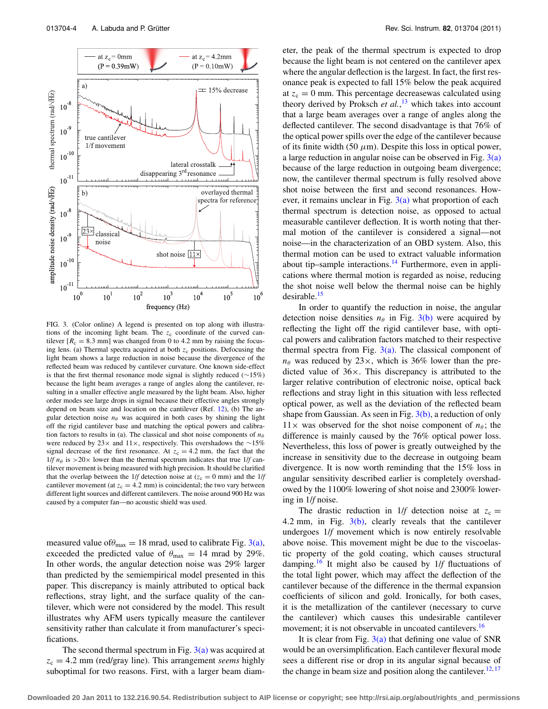<span id="page-3-0"></span>

FIG. 3. (Color online) A legend is presented on top along with illustrations of the incoming light beam. The z<sub>c</sub> coordinate of the curved cantilever  $[R_c = 8.3 \text{ mm}]$  was changed from 0 to 4.2 mm by raising the focusing lens. (a) Thermal spectra acquired at both  $z_c$  positions. Defocusing the light beam shows a large reduction in noise because the divergence of the reflected beam was reduced by cantilever curvature. One known side-effect is that the first thermal resonance mode signal is slightly reduced (∼15%) because the light beam averages a range of angles along the cantilever, resulting in a smaller effective angle measured by the light beam. Also, higher order modes see large drops in signal because their effective angles strongly depend on beam size and location on the cantilever (Ref. [12\)](#page-5-7), (b) The angular detection noise  $n_\theta$  was acquired in both cases by shining the light off the rigid cantilever base and matching the optical powers and calibration factors to results in (a). The classical and shot noise components of  $n_{\theta}$ were reduced by 23× and 11×, respectively. This overshadows the ∼15% signal decrease of the first resonance. At  $z_c = 4.2$  mm, the fact that the  $1/f n_{\theta}$  is  $>20\times$  lower than the thermal spectrum indicates that true  $1/f$  cantilever movement is being measured with high precision. It should be clarified that the overlap between the 1/*f* detection noise at ( $z_c = 0$  mm) and the 1/*f* cantilever movement (at  $z_c = 4.2$  mm) is coincidental; the two vary between different light sources and different cantilevers. The noise around 900 Hz was caused by a computer fan—no acoustic shield was used.

measured value of  $\theta_{\text{max}} = 18$  mrad, used to calibrate Fig. [3\(a\),](#page-3-0) exceeded the predicted value of  $\theta_{\text{max}} = 14$  mrad by 29%. In other words, the angular detection noise was 29% larger than predicted by the semiempirical model presented in this paper. This discrepancy is mainly attributed to optical back reflections, stray light, and the surface quality of the cantilever, which were not considered by the model. This result illustrates why AFM users typically measure the cantilever sensitivity rather than calculate it from manufacturer's specifications.

The second thermal spectrum in Fig.  $3(a)$  was acquired at  $z_c = 4.2$  mm (red/gray line). This arrangement *seems* highly suboptimal for two reasons. First, with a larger beam diameter, the peak of the thermal spectrum is expected to drop because the light beam is not centered on the cantilever apex where the angular deflection is the largest. In fact, the first resonance peak is expected to fall 15% below the peak acquired at  $z_c = 0$  mm. This percentage decreasewas calculated using theory derived by Proksch *et al.*, [13](#page-5-8) which takes into account that a large beam averages over a range of angles along the deflected cantilever. The second disadvantage is that 76% of the optical power spills over the edge of the cantilever because of its finite width (50  $\mu$ m). Despite this loss in optical power, a large reduction in angular noise can be observed in Fig.  $3(a)$ because of the large reduction in outgoing beam divergence; now, the cantilever thermal spectrum is fully resolved above shot noise between the first and second resonances. However, it remains unclear in Fig.  $3(a)$  what proportion of each thermal spectrum is detection noise, as opposed to actual measurable cantilever deflection. It is worth noting that thermal motion of the cantilever is considered a signal—not noise—in the characterization of an OBD system. Also, this thermal motion can be used to extract valuable information about tip–sample interactions. $14$  Furthermore, even in applications where thermal motion is regarded as noise, reducing the shot noise well below the thermal noise can be highly desirable.<sup>[15](#page-5-10)</sup>

In order to quantify the reduction in noise, the angular detection noise densities  $n_\theta$  in Fig. [3\(b\)](#page-3-0) were acquired by reflecting the light off the rigid cantilever base, with optical powers and calibration factors matched to their respective thermal spectra from Fig.  $3(a)$ . The classical component of  $n_{\theta}$  was reduced by 23 $\times$ , which is 36% lower than the predicted value of  $36\times$ . This discrepancy is attributed to the larger relative contribution of electronic noise, optical back reflections and stray light in this situation with less reflected optical power, as well as the deviation of the reflected beam shape from Gaussian. As seen in Fig.  $3(b)$ , a reduction of only  $11\times$  was observed for the shot noise component of  $n_{\theta}$ ; the difference is mainly caused by the 76% optical power loss. Nevertheless, this loss of power is greatly outweighed by the increase in sensitivity due to the decrease in outgoing beam divergence. It is now worth reminding that the 15% loss in angular sensitivity described earlier is completely overshadowed by the 1100% lowering of shot noise and 2300% lowering in 1/*f* noise.

The drastic reduction in 1/*f* detection noise at  $z_c$  = 4.2 mm, in Fig.  $3(b)$ , clearly reveals that the cantilever undergoes 1/*f* movement which is now entirely resolvable above noise. This movement might be due to the viscoelastic property of the gold coating, which causes structural damping.[16](#page-5-11) It might also be caused by 1/*f* fluctuations of the total light power, which may affect the deflection of the cantilever because of the difference in the thermal expansion coefficients of silicon and gold. Ironically, for both cases, it is the metallization of the cantilever (necessary to curve the cantilever) which causes this undesirable cantilever movement; it is not observable in uncoated cantilevers.<sup>16</sup>

It is clear from Fig.  $3(a)$  that defining one value of SNR would be an oversimplification. Each cantilever flexural mode sees a different rise or drop in its angular signal because of the change in beam size and position along the cantilever.<sup>[12,](#page-5-7) [17](#page-5-12)</sup>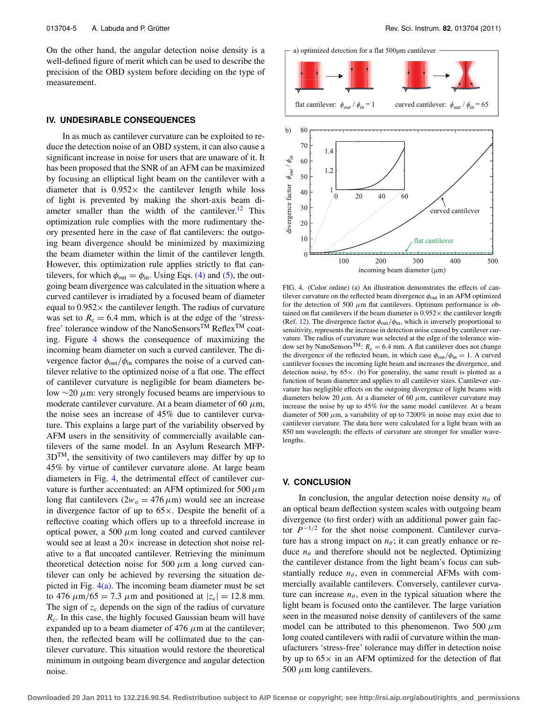On the other hand, the angular detection noise density is a well-defined figure of merit which can be used to describe the precision of the OBD system before deciding on the type of measurement.

#### **IV. UNDESIRABLE CONSEQUENCES**

In as much as cantilever curvature can be exploited to reduce the detection noise of an OBD system, it can also cause a significant increase in noise for users that are unaware of it. It has been proposed that the SNR of an AFM can be maximized by focusing an elliptical light beam on the cantilever with a diameter that is  $0.952 \times$  the cantilever length while loss of light is prevented by making the short-axis beam diameter smaller than the width of the cantilever.<sup>12</sup> This optimization rule complies with the more rudimentary theory presented here in the case of flat cantilevers: the outgoing beam divergence should be minimized by maximizing the beam diameter within the limit of the cantilever length. However, this optimization rule applies strictly to flat cantilevers, for which  $\phi_{\text{out}} = \phi_{\text{in}}$ . Using Eqs. [\(4\)](#page-1-1) and [\(5\),](#page-1-4) the outgoing beam divergence was calculated in the situation where a curved cantilever is irradiated by a focused beam of diameter equal to  $0.952 \times$  the cantilever length. The radius of curvature was set to  $R_c = 6.4$  mm, which is at the edge of the 'stressfree' tolerance window of the NanoSensors<sup>TM</sup> Reflex<sup>TM</sup> coating. Figure [4](#page-4-0) shows the consequence of maximizing the incoming beam diameter on such a curved cantilever. The divergence factor  $\phi_{\text{out}}/\phi_{\text{in}}$  compares the noise of a curved cantilever relative to the optimized noise of a flat one. The effect of cantilever curvature is negligible for beam diameters below  $\sim$ 20  $\mu$ m: very strongly focused beams are impervious to moderate cantilever curvature. At a beam diameter of 60  $\mu$ m, the noise sees an increase of 45% due to cantilever curvature. This explains a large part of the variability observed by AFM users in the sensitivity of commercially available cantilevers of the same model. In an Asylum Research MFP-3DTM, the sensitivity of two cantilevers may differ by up to 45% by virtue of cantilever curvature alone. At large beam diameters in Fig. [4,](#page-4-0) the detrimental effect of cantilever curvature is further accentuated: an AFM optimized for 500  $\mu$ m long flat cantilevers  $(2w_0 = 476 \,\mu\text{m})$  would see an increase in divergence factor of up to  $65\times$ . Despite the benefit of a reflective coating which offers up to a threefold increase in optical power, a 500  $\mu$ m long coated and curved cantilever would see at least a  $20 \times$  increase in detection shot noise relative to a flat uncoated cantilever. Retrieving the minimum theoretical detection noise for 500  $\mu$ m a long curved cantilever can only be achieved by reversing the situation depicted in Fig.  $4(a)$ . The incoming beam diameter must be set to 476  $\mu$ m/65 = 7.3  $\mu$ m and positioned at  $|z_c| = 12.8$  mm. The sign of  $z_c$  depends on the sign of the radius of curvature *R<sub>c</sub>*. In this case, the highly focused Gaussian beam will have expanded up to a beam diameter of 476  $\mu$ m at the cantilever; then, the reflected beam will be collimated due to the cantilever curvature. This situation would restore the theoretical minimum in outgoing beam divergence and angular detection noise.

<span id="page-4-0"></span>

FIG. 4. (Color online) (a) An illustration demonstrates the effects of cantilever curvature on the reflected beam divergence  $\phi_{\text{out}}$  in an AFM optimized for the detection of 500  $\mu$ m flat cantilevers. Optimum performance is obtained on flat cantilevers if the beam diameter is  $0.952 \times$  the cantilever length (Ref. [12\)](#page-5-7). The divergence factor  $\phi_{\text{out}}/\phi_{\text{in}}$ , which is inversely proportional to sensitivity, represents the increase in detection noise caused by cantilever curvature. The radius of curvature was selected at the edge of the tolerance window set by NanoSensors<sup>TM</sup>:  $R_c = 6.4$  mm. A flat cantilever does not change the divergence of the reflected beam, in which case  $\phi_{\text{out}}/\phi_{\text{in}} = 1$ . A curved cantilever focuses the incoming light beam and increases the divergence, and detection noise, by  $65 \times$ . (b) For generality, the same result is plotted as a function of beam diameter and applies to all cantilever sizes. Cantilever curvature has negligible effects on the outgoing divergence of light beams with diameters below 20  $\mu$ m. At a diameter of 60  $\mu$ m, cantilever curvature may increase the noise by up to 45% for the same model cantilever. At a beam diameter of 500  $\mu$ m, a variability of up to 7200% in noise may exist due to cantilever curvature. The data here were calculated for a light beam with an 850 nm wavelength; the effects of curvature are stronger for smaller wavelengths.

#### **V. CONCLUSION**

In conclusion, the angular detection noise density  $n_{\theta}$  of an optical beam deflection system scales with outgoing beam divergence (to first order) with an additional power gain factor *P*−1/<sup>2</sup> for the shot noise component. Cantilever curvature has a strong impact on  $n_{\theta}$ ; it can greatly enhance or reduce  $n_{\theta}$  and therefore should not be neglected. Optimizing the cantilever distance from the light beam's focus can substantially reduce  $n_{\theta}$ , even in commercial AFMs with commercially available cantilevers. Conversely, cantilever curvature can increase  $n_{\theta}$ , even in the typical situation where the light beam is focused onto the cantilever. The large variation seen in the measured noise density of cantilevers of the same model can be attributed to this phenomenon. Two 500  $\mu$ m long coated cantilevers with radii of curvature within the manufacturers 'stress-free' tolerance may differ in detection noise by up to  $65\times$  in an AFM optimized for the detection of flat 500  $\mu$ m long cantilevers.